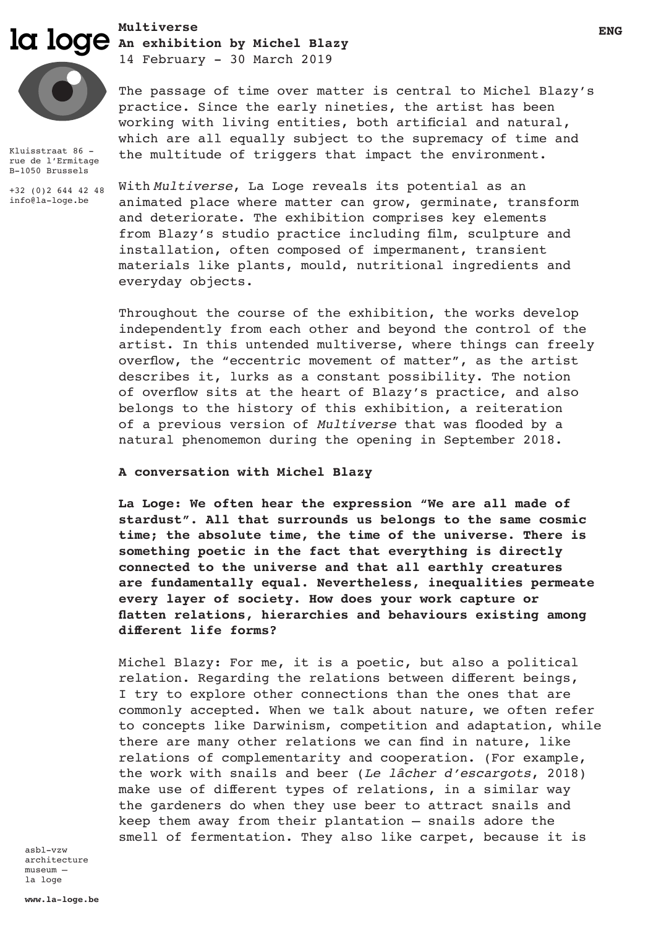# **ICI** loge An exhibition by Michel Blazy **Multiverse**



Kluisstraat 86 rue de l'Ermitage B-1050 Brussels

+32 (0)2 644 42 48 info@la-loge.be

14 February - 30 March 2019

The passage of time over matter is central to Michel Blazy's practice. Since the early nineties, the artist has been working with living entities, both artificial and natural, which are all equally subject to the supremacy of time and the multitude of triggers that impact the environment.

With *Multiverse*, La Loge reveals its potential as an animated place where matter can grow, germinate, transform and deteriorate. The exhibition comprises key elements from Blazy's studio practice including film, sculpture and installation, often composed of impermanent, transient materials like plants, mould, nutritional ingredients and everyday objects.

Throughout the course of the exhibition, the works develop independently from each other and beyond the control of the artist. In this untended multiverse, where things can freely overflow, the "eccentric movement of matter", as the artist describes it, lurks as a constant possibility. The notion of overflow sits at the heart of Blazy's practice, and also belongs to the history of this exhibition, a reiteration of a previous version of *Multiverse* that was flooded by a natural phenomemon during the opening in September 2018.

## **A conversation with Michel Blazy**

**La Loge: We often hear the expression "We are all made of stardust". All that surrounds us belongs to the same cosmic time; the absolute time, the time of the universe. There is something poetic in the fact that everything is directly connected to the universe and that all earthly creatures are fundamentally equal. Nevertheless, inequalities permeate every layer of society. How does your work capture or flatten relations, hierarchies and behaviours existing among different life forms?**

Michel Blazy: For me, it is a poetic, but also a political relation. Regarding the relations between different beings, I try to explore other connections than the ones that are commonly accepted. When we talk about nature, we often refer to concepts like Darwinism, competition and adaptation, while there are many other relations we can find in nature, like relations of complementarity and cooperation. (For example, the work with snails and beer (*Le lâcher d'escargots*, 2018) make use of different types of relations, in a similar way the gardeners do when they use beer to attract snails and keep them away from their plantation – snails adore the smell of fermentation. They also like carpet, because it is

asbl-vzw architecture museum – la loge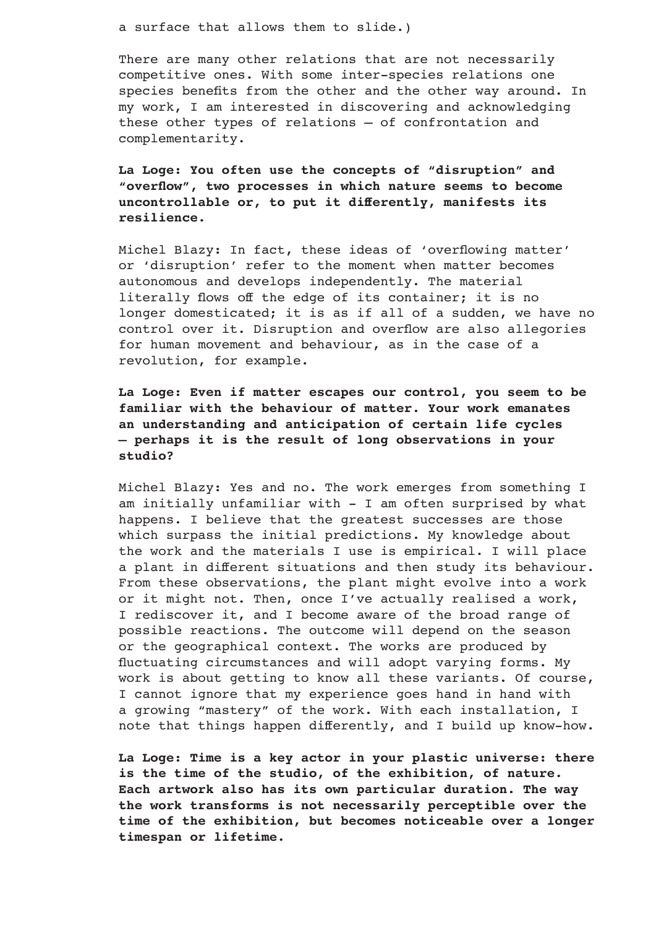a surface that allows them to slide.)

There are many other relations that are not necessarily competitive ones. With some inter-species relations one species benefits from the other and the other way around. In my work, I am interested in discovering and acknowledging these other types of relations – of confrontation and complementarity.

**La Loge: You often use the concepts of "disruption" and "overflow", two processes in which nature seems to become uncontrollable or, to put it differently, manifests its resilience.** 

Michel Blazy: In fact, these ideas of 'overflowing matter' or 'disruption' refer to the moment when matter becomes autonomous and develops independently. The material literally flows off the edge of its container; it is no longer domesticated; it is as if all of a sudden, we have no control over it. Disruption and overflow are also allegories for human movement and behaviour, as in the case of a revolution, for example.

**La Loge: Even if matter escapes our control, you seem to be familiar with the behaviour of matter. Your work emanates an understanding and anticipation of certain life cycles – perhaps it is the result of long observations in your studio?**

Michel Blazy: Yes and no. The work emerges from something I am initially unfamiliar with - I am often surprised by what happens. I believe that the greatest successes are those which surpass the initial predictions. My knowledge about the work and the materials I use is empirical. I will place a plant in different situations and then study its behaviour. From these observations, the plant might evolve into a work or it might not. Then, once I've actually realised a work, I rediscover it, and I become aware of the broad range of possible reactions. The outcome will depend on the season or the geographical context. The works are produced by fluctuating circumstances and will adopt varying forms. My work is about getting to know all these variants. Of course, I cannot ignore that my experience goes hand in hand with a growing "mastery" of the work. With each installation, I note that things happen differently, and I build up know-how.

**La Loge: Time is a key actor in your plastic universe: there is the time of the studio, of the exhibition, of nature. Each artwork also has its own particular duration. The way the work transforms is not necessarily perceptible over the time of the exhibition, but becomes noticeable over a longer timespan or lifetime.**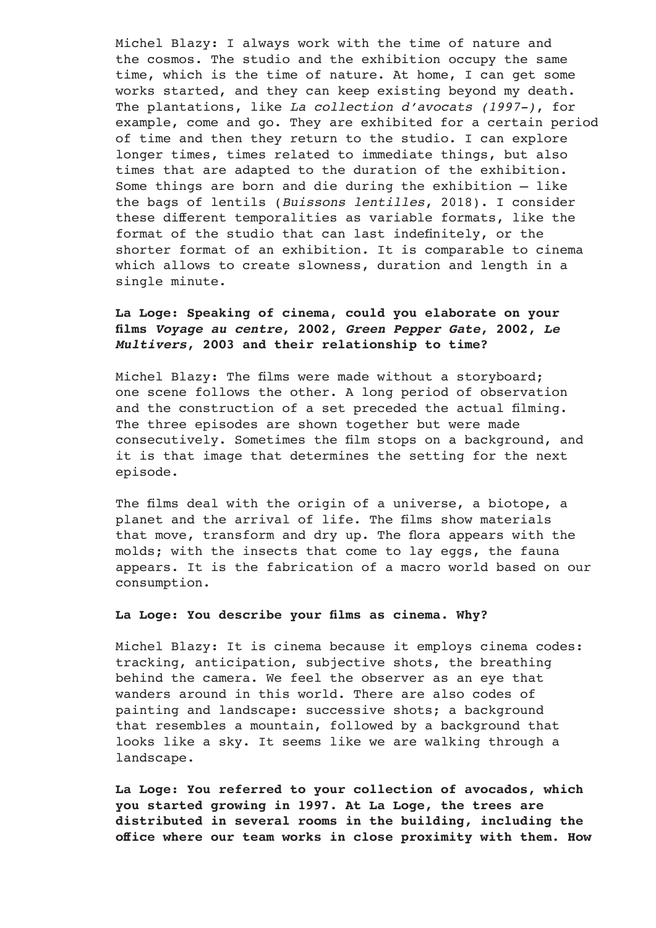Michel Blazy: I always work with the time of nature and the cosmos. The studio and the exhibition occupy the same time, which is the time of nature. At home, I can get some works started, and they can keep existing beyond my death. The plantations, like *La collection d'avocats (1997-)*, for example, come and go. They are exhibited for a certain period of time and then they return to the studio. I can explore longer times, times related to immediate things, but also times that are adapted to the duration of the exhibition. Some things are born and die during the exhibition – like the bags of lentils (*Buissons lentilles*, 2018). I consider these different temporalities as variable formats, like the format of the studio that can last indefinitely, or the shorter format of an exhibition. It is comparable to cinema which allows to create slowness, duration and length in a single minute.

# **La Loge: Speaking of cinema, could you elaborate on your films** *Voyage au centre***, 2002,** *Green Pepper Gate***, 2002,** *Le Multivers***, 2003 and their relationship to time?**

Michel Blazy: The films were made without a storyboard; one scene follows the other. A long period of observation and the construction of a set preceded the actual filming. The three episodes are shown together but were made consecutively. Sometimes the film stops on a background, and it is that image that determines the setting for the next episode.

The films deal with the origin of a universe, a biotope, a planet and the arrival of life. The films show materials that move, transform and dry up. The flora appears with the molds; with the insects that come to lay eggs, the fauna appears. It is the fabrication of a macro world based on our consumption.

## **La Loge: You describe your films as cinema. Why?**

Michel Blazy: It is cinema because it employs cinema codes: tracking, anticipation, subjective shots, the breathing behind the camera. We feel the observer as an eye that wanders around in this world. There are also codes of painting and landscape: successive shots; a background that resembles a mountain, followed by a background that looks like a sky. It seems like we are walking through a landscape.

**La Loge: You referred to your collection of avocados, which you started growing in 1997. At La Loge, the trees are distributed in several rooms in the building, including the office where our team works in close proximity with them. How**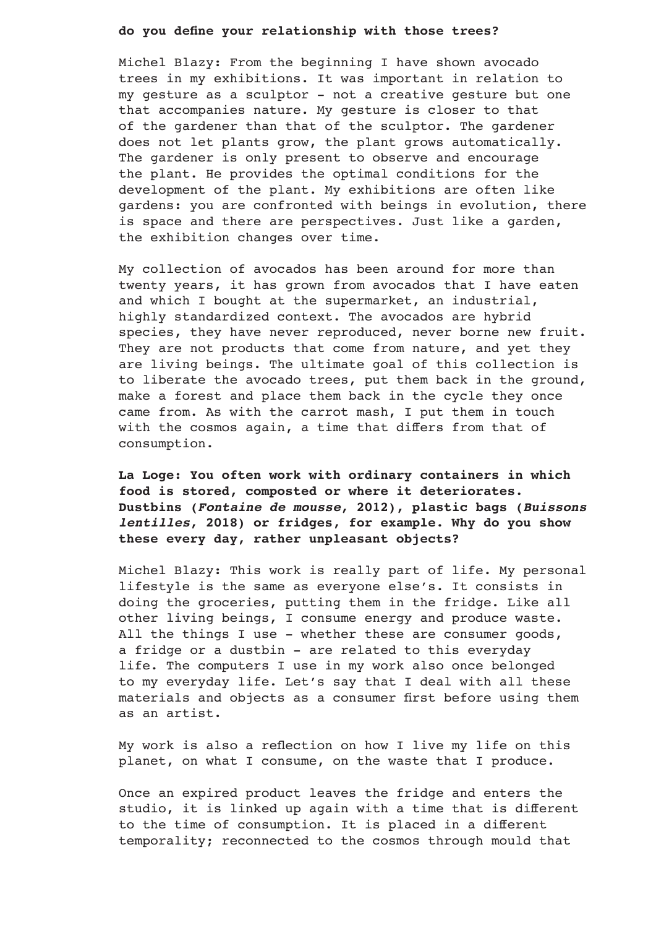## **do you define your relationship with those trees?**

Michel Blazy: From the beginning I have shown avocado trees in my exhibitions. It was important in relation to my gesture as a sculptor - not a creative gesture but one that accompanies nature. My gesture is closer to that of the gardener than that of the sculptor. The gardener does not let plants grow, the plant grows automatically. The gardener is only present to observe and encourage the plant. He provides the optimal conditions for the development of the plant. My exhibitions are often like gardens: you are confronted with beings in evolution, there is space and there are perspectives. Just like a garden, the exhibition changes over time.

My collection of avocados has been around for more than twenty years, it has grown from avocados that I have eaten and which I bought at the supermarket, an industrial, highly standardized context. The avocados are hybrid species, they have never reproduced, never borne new fruit. They are not products that come from nature, and yet they are living beings. The ultimate goal of this collection is to liberate the avocado trees, put them back in the ground, make a forest and place them back in the cycle they once came from. As with the carrot mash, I put them in touch with the cosmos again, a time that differs from that of consumption.

**La Loge: You often work with ordinary containers in which food is stored, composted or where it deteriorates. Dustbins (***Fontaine de mousse***, 2012), plastic bags (***Buissons lentilles***, 2018) or fridges, for example. Why do you show these every day, rather unpleasant objects?** 

Michel Blazy: This work is really part of life. My personal lifestyle is the same as everyone else's. It consists in doing the groceries, putting them in the fridge. Like all other living beings, I consume energy and produce waste. All the things I use - whether these are consumer goods, a fridge or a dustbin - are related to this everyday life. The computers I use in my work also once belonged to my everyday life. Let's say that I deal with all these materials and objects as a consumer first before using them as an artist.

My work is also a reflection on how I live my life on this planet, on what I consume, on the waste that I produce.

Once an expired product leaves the fridge and enters the studio, it is linked up again with a time that is different to the time of consumption. It is placed in a different temporality; reconnected to the cosmos through mould that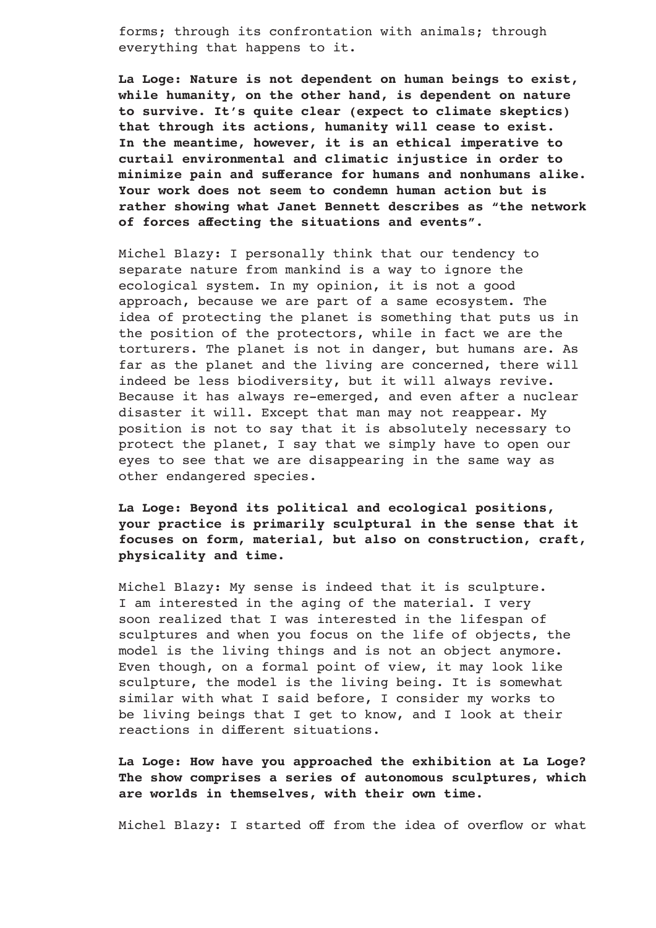forms; through its confrontation with animals; through everything that happens to it.

**La Loge: Nature is not dependent on human beings to exist, while humanity, on the other hand, is dependent on nature to survive. It's quite clear (expect to climate skeptics) that through its actions, humanity will cease to exist. In the meantime, however, it is an ethical imperative to curtail environmental and climatic injustice in order to minimize pain and sufferance for humans and nonhumans alike. Your work does not seem to condemn human action but is rather showing what Janet Bennett describes as "the network of forces affecting the situations and events".**

Michel Blazy: I personally think that our tendency to separate nature from mankind is a way to ignore the ecological system. In my opinion, it is not a good approach, because we are part of a same ecosystem. The idea of protecting the planet is something that puts us in the position of the protectors, while in fact we are the torturers. The planet is not in danger, but humans are. As far as the planet and the living are concerned, there will indeed be less biodiversity, but it will always revive. Because it has always re-emerged, and even after a nuclear disaster it will. Except that man may not reappear. My position is not to say that it is absolutely necessary to protect the planet, I say that we simply have to open our eyes to see that we are disappearing in the same way as other endangered species.

# **La Loge: Beyond its political and ecological positions, your practice is primarily sculptural in the sense that it focuses on form, material, but also on construction, craft, physicality and time.**

Michel Blazy: My sense is indeed that it is sculpture. I am interested in the aging of the material. I very soon realized that I was interested in the lifespan of sculptures and when you focus on the life of objects, the model is the living things and is not an object anymore. Even though, on a formal point of view, it may look like sculpture, the model is the living being. It is somewhat similar with what I said before, I consider my works to be living beings that I get to know, and I look at their reactions in different situations.

**La Loge: How have you approached the exhibition at La Loge? The show comprises a series of autonomous sculptures, which are worlds in themselves, with their own time.** 

Michel Blazy: I started off from the idea of overflow or what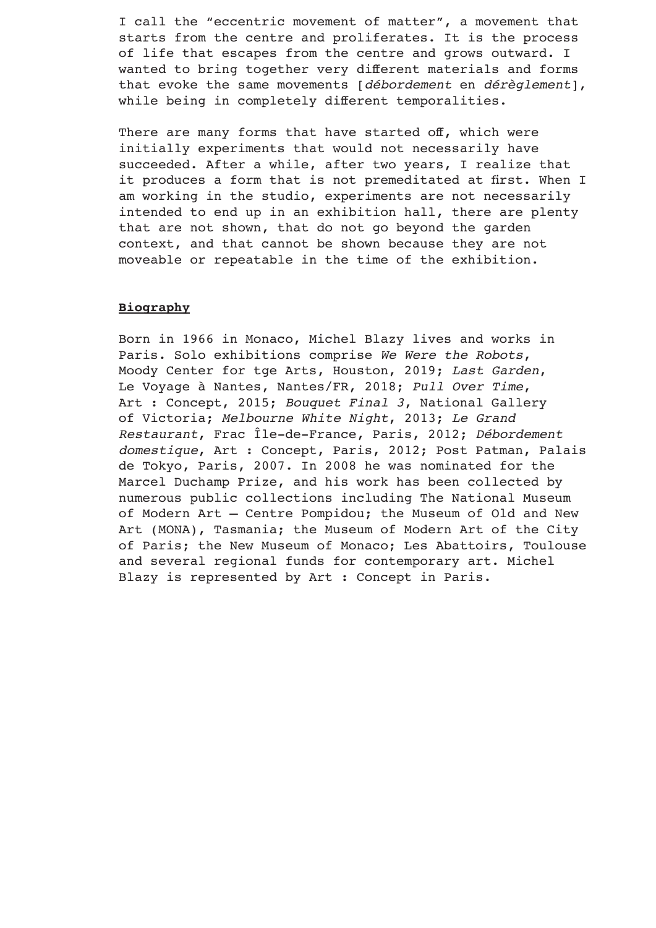I call the "eccentric movement of matter", a movement that starts from the centre and proliferates. It is the process of life that escapes from the centre and grows outward. I wanted to bring together very different materials and forms that evoke the same movements [*débordement* en *dérèglement*], while being in completely different temporalities.

There are many forms that have started off, which were initially experiments that would not necessarily have succeeded. After a while, after two years, I realize that it produces a form that is not premeditated at first. When I am working in the studio, experiments are not necessarily intended to end up in an exhibition hall, there are plenty that are not shown, that do not go beyond the garden context, and that cannot be shown because they are not moveable or repeatable in the time of the exhibition.

## **Biography**

Born in 1966 in Monaco, Michel Blazy lives and works in Paris. Solo exhibitions comprise *We Were the Robots*, Moody Center for tge Arts, Houston, 2019; *Last Garden*, Le Voyage à Nantes, Nantes/FR, 2018; *Pull Over Time*, Art : Concept, 2015; *Bouquet Final 3*, National Gallery of Victoria; *Melbourne White Night*, 2013; *Le Grand Restaurant*, Frac Île-de-France, Paris, 2012; *Débordement domestique*, Art : Concept, Paris, 2012; Post Patman, Palais de Tokyo, Paris, 2007. In 2008 he was nominated for the Marcel Duchamp Prize, and his work has been collected by numerous public collections including The National Museum of Modern Art – Centre Pompidou; the Museum of Old and New Art (MONA), Tasmania; the Museum of Modern Art of the City of Paris; the New Museum of Monaco; Les Abattoirs, Toulouse and several regional funds for contemporary art. Michel Blazy is represented by Art : Concept in Paris.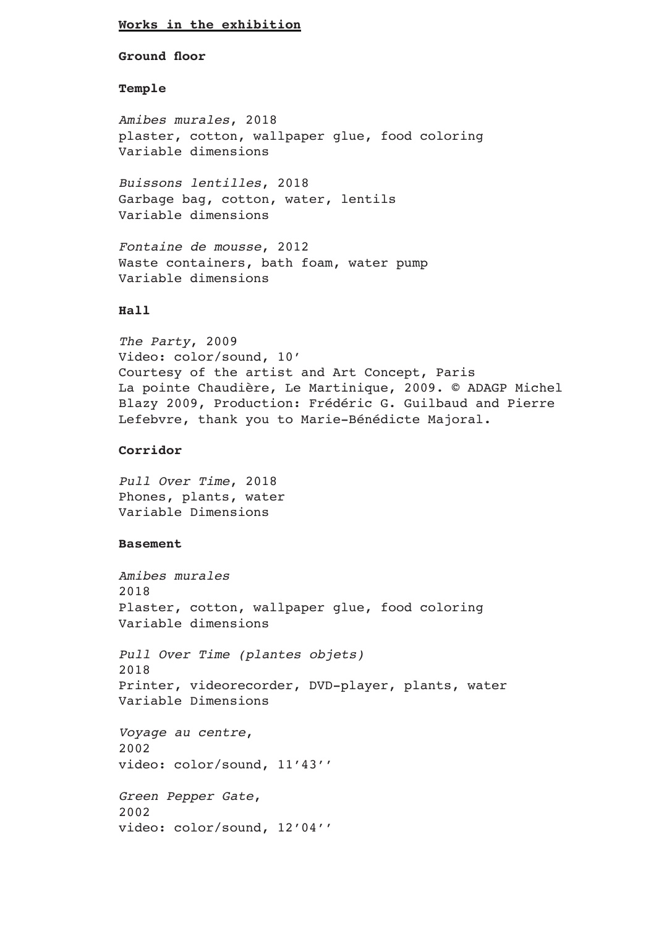## **Works in the exhibition**

**Ground floor**

#### **Temple**

*Amibes murales*, 2018 plaster, cotton, wallpaper glue, food coloring Variable dimensions

*Buissons lentilles*, 2018 Garbage bag, cotton, water, lentils Variable dimensions

*Fontaine de mousse*, 2012 Waste containers, bath foam, water pump Variable dimensions

## **Hall**

*The Party*, 2009 Video: color/sound, 10' Courtesy of the artist and Art Concept, Paris La pointe Chaudière, Le Martinique, 2009. © ADAGP Michel Blazy 2009, Production: Frédéric G. Guilbaud and Pierre Lefebvre, thank you to Marie-Bénédicte Majoral**.**

## **Corridor**

*Pull Over Time*, 2018 Phones, plants, water Variable Dimensions

#### **Basement**

```
Amibes murales
2018
Plaster, cotton, wallpaper glue, food coloring
Variable dimensions
Pull Over Time (plantes objets)
2018
Printer, videorecorder, DVD-player, plants, water 
Variable Dimensions
Voyage au centre,
2002
video: color/sound, 11'43''
Green Pepper Gate,
2002
video: color/sound, 12'04''
```